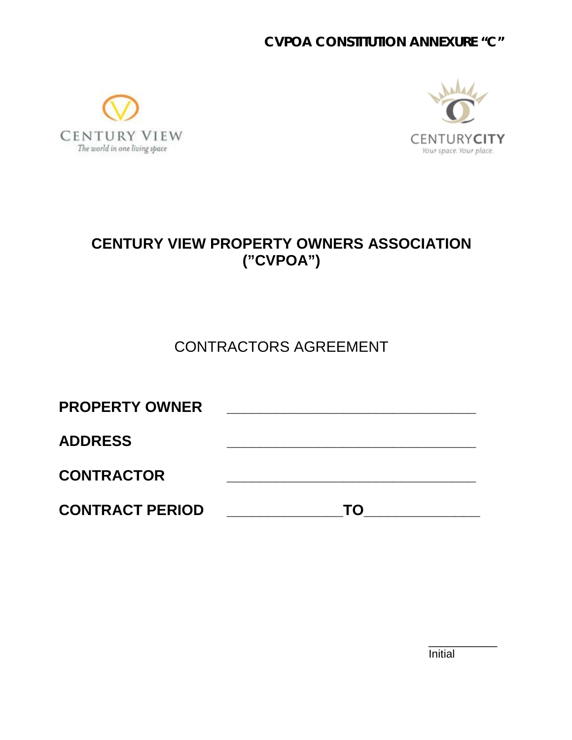**CVPOA CONSTITUTION ANNEXURE "C"**





# **CENTURY VIEW PROPERTY OWNERS ASSOCIATION ("CVPOA")**

# CONTRACTORS AGREEMENT

| <b>PROPERTY OWNER</b>  |    |  |
|------------------------|----|--|
| <b>ADDRESS</b>         |    |  |
| <b>CONTRACTOR</b>      |    |  |
| <b>CONTRACT PERIOD</b> | TΟ |  |

Initial

\_\_\_\_\_\_\_\_\_\_\_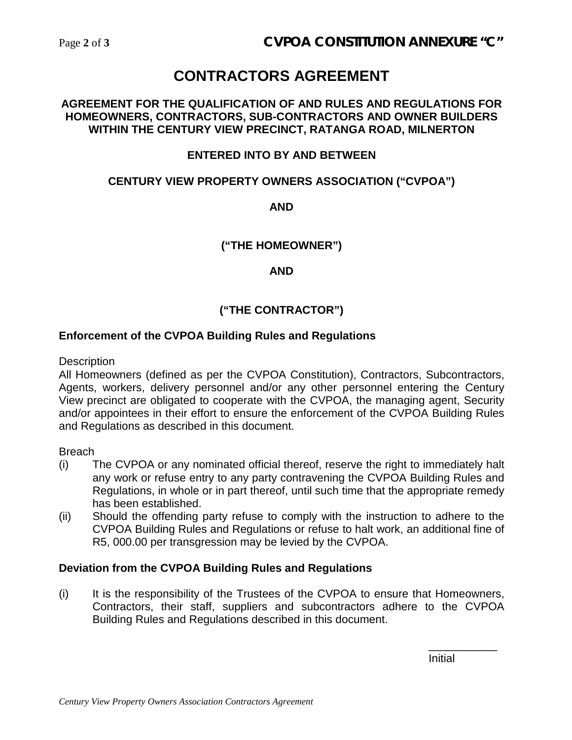# **CONTRACTORS AGREEMENT**

#### **AGREEMENT FOR THE QUALIFICATION OF AND RULES AND REGULATIONS FOR HOMEOWNERS, CONTRACTORS, SUB-CONTRACTORS AND OWNER BUILDERS WITHIN THE CENTURY VIEW PRECINCT, RATANGA ROAD, MILNERTON**

## **ENTERED INTO BY AND BETWEEN**

## **CENTURY VIEW PROPERTY OWNERS ASSOCIATION ("CVPOA")**

#### **AND**

## **("THE HOMEOWNER")**

#### **AND**

# **("THE CONTRACTOR")**

#### **Enforcement of the CVPOA Building Rules and Regulations**

**Description** 

All Homeowners (defined as per the CVPOA Constitution), Contractors, Subcontractors, Agents, workers, delivery personnel and/or any other personnel entering the Century View precinct are obligated to cooperate with the CVPOA, the managing agent, Security and/or appointees in their effort to ensure the enforcement of the CVPOA Building Rules and Regulations as described in this document.

**Breach** 

- (i) The CVPOA or any nominated official thereof, reserve the right to immediately halt any work or refuse entry to any party contravening the CVPOA Building Rules and Regulations, in whole or in part thereof, until such time that the appropriate remedy has been established.
- (ii) Should the offending party refuse to comply with the instruction to adhere to the CVPOA Building Rules and Regulations or refuse to halt work, an additional fine of R5, 000.00 per transgression may be levied by the CVPOA.

#### **Deviation from the CVPOA Building Rules and Regulations**

(i) It is the responsibility of the Trustees of the CVPOA to ensure that Homeowners, Contractors, their staff, suppliers and subcontractors adhere to the CVPOA Building Rules and Regulations described in this document.

Initial

\_\_\_\_\_\_\_\_\_\_\_